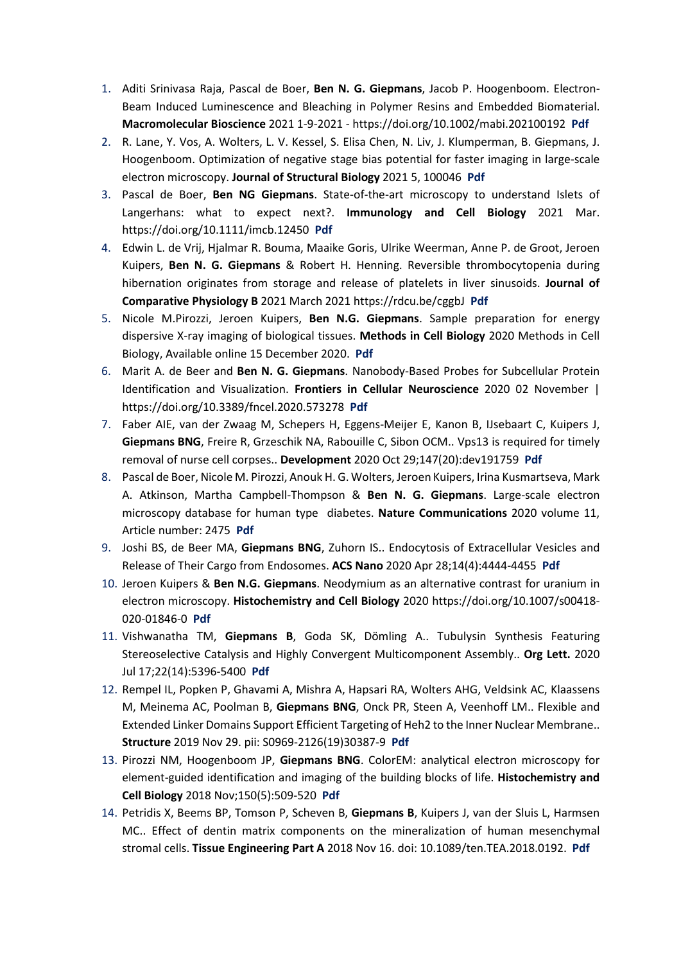- 1. Aditi Srinivasa Raja, Pascal de Boer, **Ben N. G. Giepmans**, Jacob P. Hoogenboom. Electron-Beam Induced Luminescence and Bleaching in Polymer Resins and Embedded Biomaterial. **Macromolecular Bioscience** 2021 1-9-2021 - https://doi.org/10.1002/mabi.202100192 **[Pdf](https://onlinelibrary.wiley.com/doi/full/10.1002/mabi.202100192)**
- 2. R. Lane, Y. Vos, A. Wolters, L. V. Kessel, S. Elisa Chen, N. Liv, J. Klumperman, B. Giepmans, J. Hoogenboom. Optimization of negative stage bias potential for faster imaging in large-scale electron microscopy. **Journal of Structural Biology** 2021 5, 100046 **[Pdf](https://www.sciencedirect.com/science/article/pii/S2590152421000039?via%3Dihub)**
- 3. Pascal de Boer, **Ben NG Giepmans**. State-of-the-art microscopy to understand Islets of Langerhans: what to expect next?. **Immunology and Cell Biology** 2021 Mar. https://doi.org/10.1111/imcb.12450 **[Pdf](https://onlinelibrary.wiley.com/doi/10.1111/imcb.12450)**
- 4. Edwin L. de Vrij, Hjalmar R. Bouma, Maaike Goris, Ulrike Weerman, Anne P. de Groot, Jeroen Kuipers, **Ben N. G. Giepmans** & Robert H. Henning. Reversible thrombocytopenia during hibernation originates from storage and release of platelets in liver sinusoids. **Journal of Comparative Physiology B** 2021 March 2021 https://rdcu.be/cggbJ **[Pdf](https://link.springer.com/article/10.1007/s00360-021-01351-3)**
- 5. Nicole M.Pirozzi, Jeroen Kuipers, **Ben N.G. Giepmans**. Sample preparation for energy dispersive X-ray imaging of biological tissues. **Methods in Cell Biology** 2020 Methods in Cell Biology, Available online 15 December 2020. **[Pdf](https://www.sciencedirect.com/science/article/pii/S0091679X20302065?dgcid=author)**
- 6. Marit A. de Beer and **Ben N. G. Giepmans**. Nanobody-Based Probes for Subcellular Protein Identification and Visualization. **Frontiers in Cellular Neuroscience** 2020 02 November | https://doi.org/10.3389/fncel.2020.573278 **[Pdf](https://doi.org/10.3389/fncel.2020.573278)**
- 7. Faber AIE, van der Zwaag M, Schepers H, Eggens-Meijer E, Kanon B, IJsebaart C, Kuipers J, **Giepmans BNG**, Freire R, Grzeschik NA, Rabouille C, Sibon OCM.. Vps13 is required for timely removal of nurse cell corpses.. **Development** 2020 Oct 29;147(20):dev191759 **[Pdf](https://pubmed.ncbi.nlm.nih.gov/32994170/)**
- 8. Pascal de Boer, Nicole M. Pirozzi, Anouk H. G. Wolters, Jeroen Kuipers, Irina Kusmartseva, Mark A. Atkinson, Martha Campbell-Thompson & **Ben N. G. Giepmans**. Large-scale electron microscopy database for human type diabetes. **Nature Communications** 2020 volume 11, Article number: 2475 **[Pdf](https://www.nature.com/articles/s41467-020-16287-5.pdf)**
- 9. Joshi BS, de Beer MA, **Giepmans BNG**, Zuhorn IS.. Endocytosis of Extracellular Vesicles and Release of Their Cargo from Endosomes. **ACS Nano** 2020 Apr 28;14(4):4444-4455 **[Pdf](https://pubs.acs.org/doi/10.1021/acsnano.9b10033)**
- 10. Jeroen Kuipers & **Ben N.G. Giepmans**. Neodymium as an alternative contrast for uranium in electron microscopy. **Histochemistry and Cell Biology** 2020 https://doi.org/10.1007/s00418- 020-01846-0 **[Pdf](https://link.springer.com/article/10.1007/s00418-020-01846-0)**
- 11. Vishwanatha TM, **Giepmans B**, Goda SK, Dömling A.. Tubulysin Synthesis Featuring Stereoselective Catalysis and Highly Convergent Multicomponent Assembly.. **Org Lett.** 2020 Jul 17;22(14):5396-5400 **[Pdf](https://pubs.acs.org/doi/10.1021/acs.orglett.0c01718)**
- 12. Rempel IL, Popken P, Ghavami A, Mishra A, Hapsari RA, Wolters AHG, Veldsink AC, Klaassens M, Meinema AC, Poolman B, **Giepmans BNG**, Onck PR, Steen A, Veenhoff LM.. Flexible and Extended Linker Domains Support Efficient Targeting of Heh2 to the Inner Nuclear Membrane.. **Structure** 2019 Nov 29. pii: S0969-2126(19)30387-9 **[Pdf](https://www.sciencedirect.com/science/article/pii/S0969212619303879?via%3Dihub)**
- 13. Pirozzi NM, Hoogenboom JP, **Giepmans BNG**. ColorEM: analytical electron microscopy for element-guided identification and imaging of the building blocks of life. **Histochemistry and Cell Biology** 2018 Nov;150(5):509-520 **[Pdf](https://link.springer.com/content/pdf/10.1007%2Fs00418-018-1707-4.pdf)**
- 14. Petridis X, Beems BP, Tomson P, Scheven B, **Giepmans B**, Kuipers J, van der Sluis L, Harmsen MC.. Effect of dentin matrix components on the mineralization of human mesenchymal stromal cells. **Tissue Engineering Part A** 2018 Nov 16. doi: 10.1089/ten.TEA.2018.0192. **[Pdf](https://www.liebertpub.com/doi/abs/10.1089/ten.TEA.2018.0192)**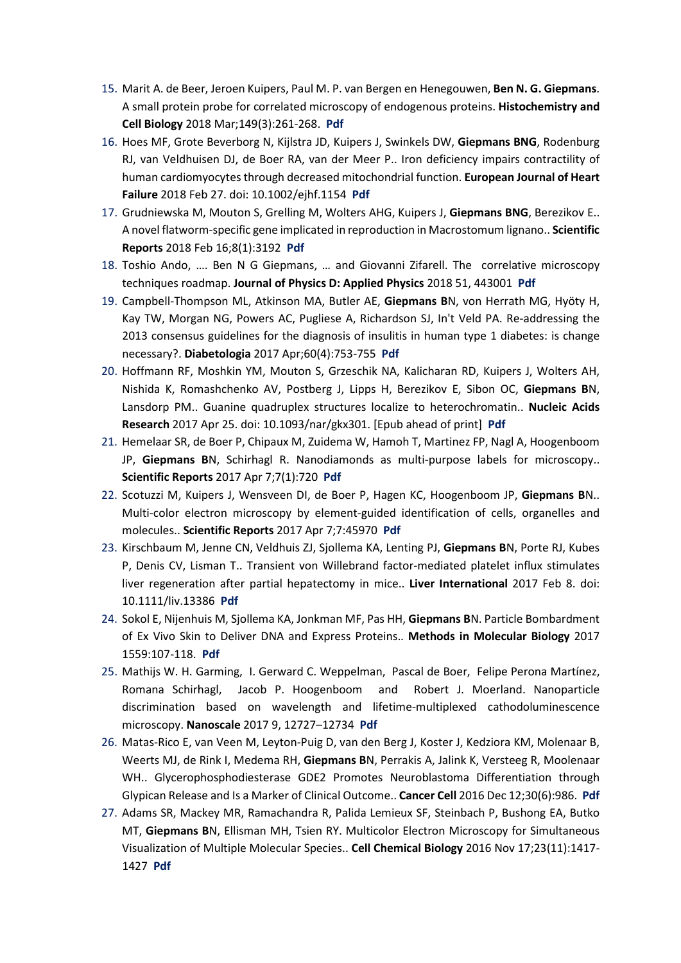- 15. Marit A. de Beer, Jeroen Kuipers, Paul M. P. van Bergen en Henegouwen, **Ben N. G. Giepmans**. A small protein probe for correlated microscopy of endogenous proteins. **Histochemistry and Cell Biology** 2018 Mar;149(3):261-268. **[Pdf](https://link.springer.com/content/pdf/10.1007%2Fs00418-018-1632-6.pdf)**
- 16. Hoes MF, Grote Beverborg N, Kijlstra JD, Kuipers J, Swinkels DW, **Giepmans BNG**, Rodenburg RJ, van Veldhuisen DJ, de Boer RA, van der Meer P.. Iron deficiency impairs contractility of human cardiomyocytes through decreased mitochondrial function. **European Journal of Heart Failure** 2018 Feb 27. doi: 10.1002/ejhf.1154 **[Pdf](https://www.ncbi.nlm.nih.gov/pubmed/29484788)**
- 17. Grudniewska M, Mouton S, Grelling M, Wolters AHG, Kuipers J, **Giepmans BNG**, Berezikov E.. A novel flatworm-specific gene implicated in reproduction in Macrostomum lignano.. **Scientific Reports** 2018 Feb 16;8(1):3192 **[Pdf](https://www.nature.com/articles/s41598-018-21107-4)**
- 18. Toshio Ando, …. Ben N G Giepmans, … and Giovanni Zifarell. The correlative microscopy techniques roadmap. **Journal of Physics D: Applied Physics** 2018 51, 443001 **[Pdf](http://iopscience.iop.org/article/10.1088/1361-6463/aad055/pdf)**
- 19. Campbell-Thompson ML, Atkinson MA, Butler AE, **Giepmans B**N, von Herrath MG, Hyöty H, Kay TW, Morgan NG, Powers AC, Pugliese A, Richardson SJ, In't Veld PA. Re-addressing the 2013 consensus guidelines for the diagnosis of insulitis in human type 1 diabetes: is change necessary?. **Diabetologia** 2017 Apr;60(4):753-755 **[Pdf](https://link.springer.com/article/10.1007%2Fs00125-016-4195-x)**
- 20. Hoffmann RF, Moshkin YM, Mouton S, Grzeschik NA, Kalicharan RD, Kuipers J, Wolters AH, Nishida K, Romashchenko AV, Postberg J, Lipps H, Berezikov E, Sibon OC, **Giepmans B**N, Lansdorp PM.. Guanine quadruplex structures localize to heterochromatin.. **Nucleic Acids Research** 2017 Apr 25. doi: 10.1093/nar/gkx301. [Epub ahead of print] **[Pdf](https://academic.oup.com/nar/article-lookup/doi/10.1093/nar/gkx301)**
- 21. Hemelaar SR, de Boer P, Chipaux M, Zuidema W, Hamoh T, Martinez FP, Nagl A, Hoogenboom JP, **Giepmans B**N, Schirhagl R. Nanodiamonds as multi-purpose labels for microscopy.. **Scientific Reports** 2017 Apr 7;7(1):720 **[Pdf](http://www.nature.com/articles/s41598-017-00797-2.epdf)**
- 22. Scotuzzi M, Kuipers J, Wensveen DI, de Boer P, Hagen KC, Hoogenboom JP, **Giepmans B**N.. Multi-color electron microscopy by element-guided identification of cells, organelles and molecules.. **Scientific Reports** 2017 Apr 7;7:45970 **[Pdf](http://readcube.com/view/10.1038/srep45970)**
- 23. Kirschbaum M, Jenne CN, Veldhuis ZJ, Sjollema KA, Lenting PJ, **Giepmans B**N, Porte RJ, Kubes P, Denis CV, Lisman T.. Transient von Willebrand factor-mediated platelet influx stimulates liver regeneration after partial hepatectomy in mice.. **Liver International** 2017 Feb 8. doi: 10.1111/liv.13386 **[Pdf](http://onlinelibrary.wiley.com/doi/10.1111/liv.13386/epdf)**
- 24. Sokol E, Nijenhuis M, Sjollema KA, Jonkman MF, Pas HH, **Giepmans B**N. Particle Bombardment of Ex Vivo Skin to Deliver DNA and Express Proteins.. **Methods in Molecular Biology** 2017 1559:107-118. **[Pdf](https://link.springer.com/protocol/10.1007%2F978-1-4939-6786-5_9)**
- 25. Mathijs W. H. Garming, I. Gerward C. Weppelman, Pascal de Boer, Felipe Perona Martínez, Romana Schirhagl, Jacob P. Hoogenboom and Robert J. Moerland. Nanoparticle discrimination based on wavelength and lifetime-multiplexed cathodoluminescence microscopy. **Nanoscale** 2017 9, 12727–12734 **[Pdf](http://pubs.rsc.org/en/content/articlepdf/2017/nr/c7nr00927e)**
- 26. Matas-Rico E, van Veen M, Leyton-Puig D, van den Berg J, Koster J, Kedziora KM, Molenaar B, Weerts MJ, de Rink I, Medema RH, **Giepmans B**N, Perrakis A, Jalink K, Versteeg R, Moolenaar WH.. Glycerophosphodiesterase GDE2 Promotes Neuroblastoma Differentiation through Glypican Release and Is a Marker of Clinical Outcome.. **Cancer Cell** 2016 Dec 12;30(6):986. **[Pdf](https://www.ncbi.nlm.nih.gov/pubmed/27960089)**
- 27. Adams SR, Mackey MR, Ramachandra R, Palida Lemieux SF, Steinbach P, Bushong EA, Butko MT, **Giepmans B**N, Ellisman MH, Tsien RY. Multicolor Electron Microscopy for Simultaneous Visualization of Multiple Molecular Species.. **Cell Chemical Biology** 2016 Nov 17;23(11):1417- 1427 **[Pdf](http://www.sciencedirect.com/science/article/pii/S2451945616303579?via%3Dihub)**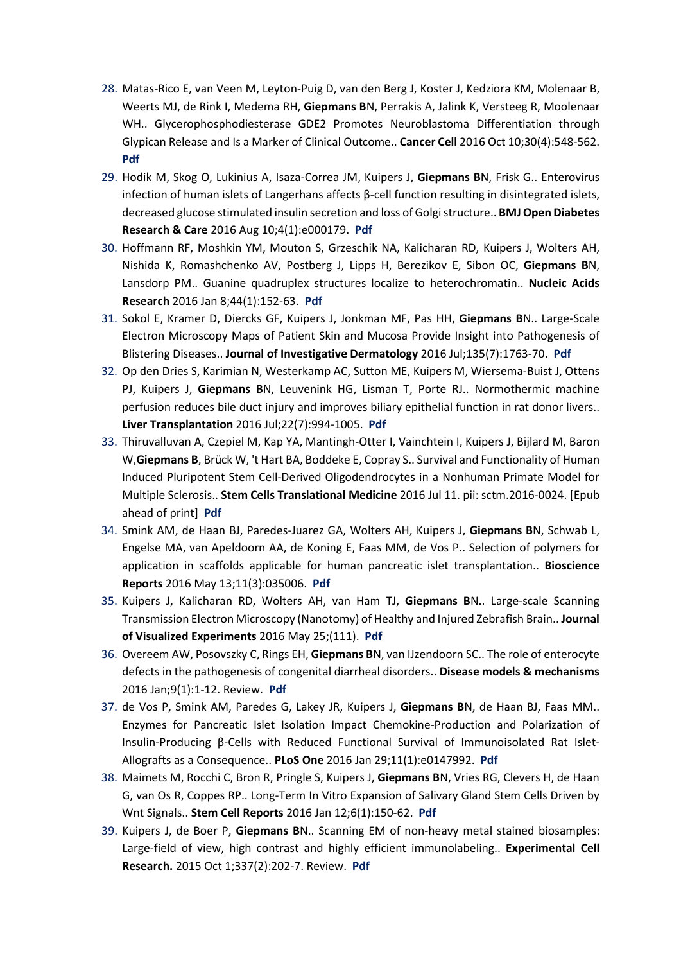- 28. Matas-Rico E, van Veen M, Leyton-Puig D, van den Berg J, Koster J, Kedziora KM, Molenaar B, Weerts MJ, de Rink I, Medema RH, **Giepmans B**N, Perrakis A, Jalink K, Versteeg R, Moolenaar WH.. Glycerophosphodiesterase GDE2 Promotes Neuroblastoma Differentiation through Glypican Release and Is a Marker of Clinical Outcome.. **Cancer Cell** 2016 Oct 10;30(4):548-562. **[Pdf](http://ac.els-cdn.com/S1535610816304019/1-s2.0-S1535610816304019-main.pdf?_tid=2edd3e7e-8735-11e7-8d5d-00000aacb35f&acdnat=1503404994_98a85c45a4445945270fdf09ec70c9f0)**
- 29. Hodik M, Skog O, Lukinius A, Isaza-Correa JM, Kuipers J, **Giepmans B**N, Frisk G.. Enterovirus infection of human islets of Langerhans affects β-cell function resulting in disintegrated islets, decreased glucose stimulated insulin secretion and loss of Golgi structure.. **BMJ Open Diabetes Research & Care** 2016 Aug 10;4(1):e000179. **[Pdf](https://www.ncbi.nlm.nih.gov/pubmed/27547409)**
- 30. Hoffmann RF, Moshkin YM, Mouton S, Grzeschik NA, Kalicharan RD, Kuipers J, Wolters AH, Nishida K, Romashchenko AV, Postberg J, Lipps H, Berezikov E, Sibon OC, **Giepmans B**N, Lansdorp PM.. Guanine quadruplex structures localize to heterochromatin.. **Nucleic Acids Research** 2016 Jan 8;44(1):152-63. **[Pdf](https://www.ncbi.nlm.nih.gov/pubmed/26384414)**
- 31. Sokol E, Kramer D, Diercks GF, Kuipers J, Jonkman MF, Pas HH, **Giepmans B**N.. Large-Scale Electron Microscopy Maps of Patient Skin and Mucosa Provide Insight into Pathogenesis of Blistering Diseases.. **Journal of Investigative Dermatology** 2016 Jul;135(7):1763-70. **[Pdf](https://www.ncbi.nlm.nih.gov/pubmed/25789704)**
- 32. Op den Dries S, Karimian N, Westerkamp AC, Sutton ME, Kuipers M, Wiersema-Buist J, Ottens PJ, Kuipers J, **Giepmans B**N, Leuvenink HG, Lisman T, Porte RJ.. Normothermic machine perfusion reduces bile duct injury and improves biliary epithelial function in rat donor livers.. **Liver Transplantation** 2016 Jul;22(7):994-1005. **[Pdf](http://onlinelibrary.wiley.com/doi/10.1002/lt.24436/epdf)**
- 33. Thiruvalluvan A, Czepiel M, Kap YA, Mantingh-Otter I, Vainchtein I, Kuipers J, Bijlard M, Baron W,**Giepmans B**, Brück W, 't Hart BA, Boddeke E, Copray S.. Survival and Functionality of Human Induced Pluripotent Stem Cell-Derived Oligodendrocytes in a Nonhuman Primate Model for Multiple Sclerosis.. **Stem Cells Translational Medicine** 2016 Jul 11. pii: sctm.2016-0024. [Epub ahead of print] **[Pdf](https://www.ncbi.nlm.nih.gov/pubmed/27400790)**
- 34. Smink AM, de Haan BJ, Paredes-Juarez GA, Wolters AH, Kuipers J, **Giepmans B**N, Schwab L, Engelse MA, van Apeldoorn AA, de Koning E, Faas MM, de Vos P.. Selection of polymers for application in scaffolds applicable for human pancreatic islet transplantation.. **Bioscience Reports** 2016 May 13;11(3):035006. **[Pdf](http://iopscience.iop.org/article/10.1088/1748-6041/11/3/035006/meta)**
- 35. Kuipers J, Kalicharan RD, Wolters AH, van Ham TJ, **Giepmans B**N.. Large-scale Scanning Transmission Electron Microscopy (Nanotomy) of Healthy and Injured Zebrafish Brain.. **Journal of Visualized Experiments** 2016 May 25;(111). **[Pdf](https://www.jove.com/video/53635/large-scale-scanning-transmission-electron-microscopy-nanotomy)**
- 36. Overeem AW, Posovszky C, Rings EH, **Giepmans B**N, van IJzendoorn SC.. The role of enterocyte defects in the pathogenesis of congenital diarrheal disorders.. **Disease models & mechanisms** 2016 Jan;9(1):1-12. Review. **[Pdf](https://www.ncbi.nlm.nih.gov/pubmed/26747865)**
- 37. de Vos P, Smink AM, Paredes G, Lakey JR, Kuipers J, **Giepmans B**N, de Haan BJ, Faas MM.. Enzymes for Pancreatic Islet Isolation Impact Chemokine-Production and Polarization of Insulin-Producing β-Cells with Reduced Functional Survival of Immunoisolated Rat Islet-Allografts as a Consequence.. **PLoS One** 2016 Jan 29;11(1):e0147992. **[Pdf](https://www.ncbi.nlm.nih.gov/pubmed/26824526)**
- 38. Maimets M, Rocchi C, Bron R, Pringle S, Kuipers J, **Giepmans B**N, Vries RG, Clevers H, de Haan G, van Os R, Coppes RP.. Long-Term In Vitro Expansion of Salivary Gland Stem Cells Driven by Wnt Signals.. **Stem Cell Reports** 2016 Jan 12;6(1):150-62. **[Pdf](https://www.ncbi.nlm.nih.gov/pubmed/26724906)**
- 39. Kuipers J, de Boer P, **Giepmans B**N.. Scanning EM of non-heavy metal stained biosamples: Large-field of view, high contrast and highly efficient immunolabeling.. **Experimental Cell Research.** 2015 Oct 1;337(2):202-7. Review. **[Pdf](https://www.ncbi.nlm.nih.gov/pubmed/26272543)**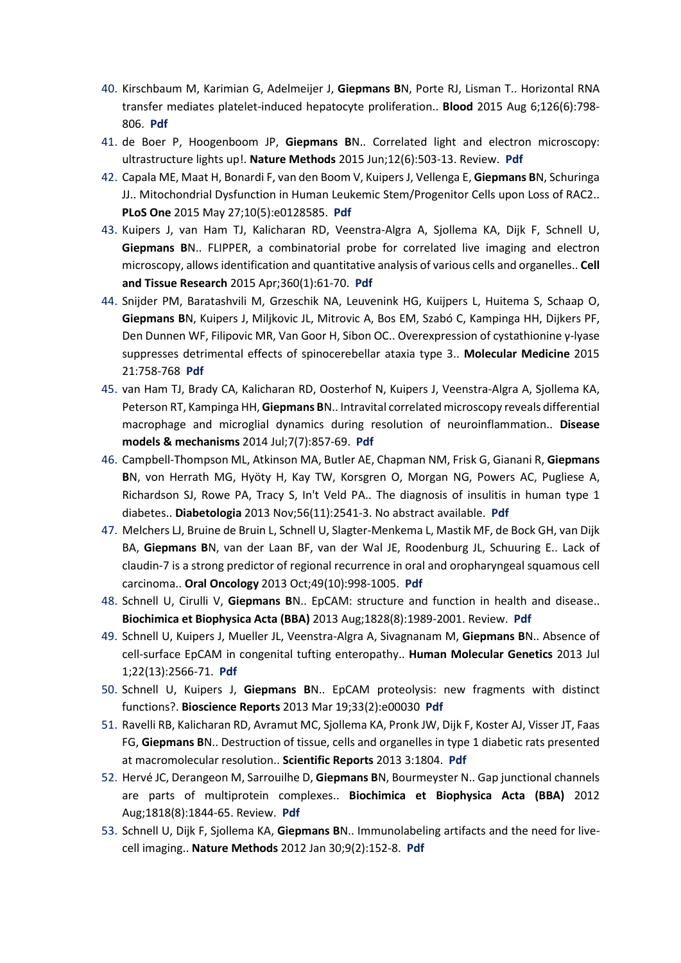- 40. Kirschbaum M, Karimian G, Adelmeijer J, **Giepmans B**N, Porte RJ, Lisman T.. Horizontal RNA transfer mediates platelet-induced hepatocyte proliferation.. **Blood** 2015 Aug 6;126(6):798- 806. **[Pdf](https://www.ncbi.nlm.nih.gov/pubmed/26056167)**
- 41. de Boer P, Hoogenboom JP, **Giepmans B**N.. Correlated light and electron microscopy: ultrastructure lights up!. **Nature Methods** 2015 Jun;12(6):503-13. Review. **[Pdf](https://www.ncbi.nlm.nih.gov/pubmed/26020503)**
- 42. Capala ME, Maat H, Bonardi F, van den Boom V, Kuipers J, Vellenga E, **Giepmans B**N, Schuringa JJ.. Mitochondrial Dysfunction in Human Leukemic Stem/Progenitor Cells upon Loss of RAC2.. **PLoS One** 2015 May 27;10(5):e0128585. **[Pdf](https://www.ncbi.nlm.nih.gov/pubmed/26016997)**
- 43. Kuipers J, van Ham TJ, Kalicharan RD, Veenstra-Algra A, Sjollema KA, Dijk F, Schnell U, **Giepmans B**N.. FLIPPER, a combinatorial probe for correlated live imaging and electron microscopy, allows identification and quantitative analysis of various cells and organelles.. **Cell and Tissue Research** 2015 Apr;360(1):61-70. **[Pdf](https://www.ncbi.nlm.nih.gov/pubmed/25786736)**
- 44. Snijder PM, Baratashvili M, Grzeschik NA, Leuvenink HG, Kuijpers L, Huitema S, Schaap O, **Giepmans B**N, Kuipers J, Miljkovic JL, Mitrovic A, Bos EM, Szabó C, Kampinga HH, Dijkers PF, Den Dunnen WF, Filipovic MR, Van Goor H, Sibon OC.. Overexpression of cystathionine γ-lyase suppresses detrimental effects of spinocerebellar ataxia type 3.. **Molecular Medicine** 2015 21:758-768 **[Pdf](https://www.ncbi.nlm.nih.gov/pubmed/26467707)**
- 45. van Ham TJ, Brady CA, Kalicharan RD, Oosterhof N, Kuipers J, Veenstra-Algra A, Sjollema KA, Peterson RT, Kampinga HH, **Giepmans B**N.. Intravital correlated microscopy reveals differential macrophage and microglial dynamics during resolution of neuroinflammation.. **Disease models & mechanisms** 2014 Jul;7(7):857-69. **[Pdf](https://www.ncbi.nlm.nih.gov/pubmed/24973753)**
- 46. Campbell-Thompson ML, Atkinson MA, Butler AE, Chapman NM, Frisk G, Gianani R, **Giepmans B**N, von Herrath MG, Hyöty H, Kay TW, Korsgren O, Morgan NG, Powers AC, Pugliese A, Richardson SJ, Rowe PA, Tracy S, In't Veld PA.. The diagnosis of insulitis in human type 1 diabetes.. **Diabetologia** 2013 Nov;56(11):2541-3. No abstract available. **[Pdf](https://www.ncbi.nlm.nih.gov/pubmed/24006089)**
- 47. Melchers LJ, Bruine de Bruin L, Schnell U, Slagter-Menkema L, Mastik MF, de Bock GH, van Dijk BA, **Giepmans B**N, van der Laan BF, van der Wal JE, Roodenburg JL, Schuuring E.. Lack of claudin-7 is a strong predictor of regional recurrence in oral and oropharyngeal squamous cell carcinoma.. **Oral Oncology** 2013 Oct;49(10):998-1005. **[Pdf](https://www.ncbi.nlm.nih.gov/pubmed/23953778)**
- 48. Schnell U, Cirulli V, **Giepmans B**N.. EpCAM: structure and function in health and disease.. **Biochimica et Biophysica Acta (BBA)** 2013 Aug;1828(8):1989-2001. Review. **[Pdf](https://www.ncbi.nlm.nih.gov/pubmed/23618806)**
- 49. Schnell U, Kuipers J, Mueller JL, Veenstra-Algra A, Sivagnanam M, **Giepmans B**N.. Absence of cell-surface EpCAM in congenital tufting enteropathy.. **Human Molecular Genetics** 2013 Jul 1;22(13):2566-71. **[Pdf](https://www.ncbi.nlm.nih.gov/pubmed/23462293)**
- 50. Schnell U, Kuipers J, **Giepmans B**N.. EpCAM proteolysis: new fragments with distinct functions?. **Bioscience Reports** 2013 Mar 19;33(2):e00030 **[Pdf](https://www.ncbi.nlm.nih.gov/pubmed/23409978)**
- 51. Ravelli RB, Kalicharan RD, Avramut MC, Sjollema KA, Pronk JW, Dijk F, Koster AJ, Visser JT, Faas FG, **Giepmans B**N.. Destruction of tissue, cells and organelles in type 1 diabetic rats presented at macromolecular resolution.. **Scientific Reports** 2013 3:1804. **[Pdf](https://www.ncbi.nlm.nih.gov/pubmed/23652855)**
- 52. Hervé JC, Derangeon M, Sarrouilhe D, **Giepmans B**N, Bourmeyster N.. Gap junctional channels are parts of multiprotein complexes.. **Biochimica et Biophysica Acta (BBA)** 2012 Aug;1818(8):1844-65. Review. **[Pdf](https://www.ncbi.nlm.nih.gov/pubmed/22197781)**
- 53. Schnell U, Dijk F, Sjollema KA, **Giepmans B**N.. Immunolabeling artifacts and the need for livecell imaging.. **Nature Methods** 2012 Jan 30;9(2):152-8. **[Pdf](https://www.ncbi.nlm.nih.gov/pubmed/22290187)**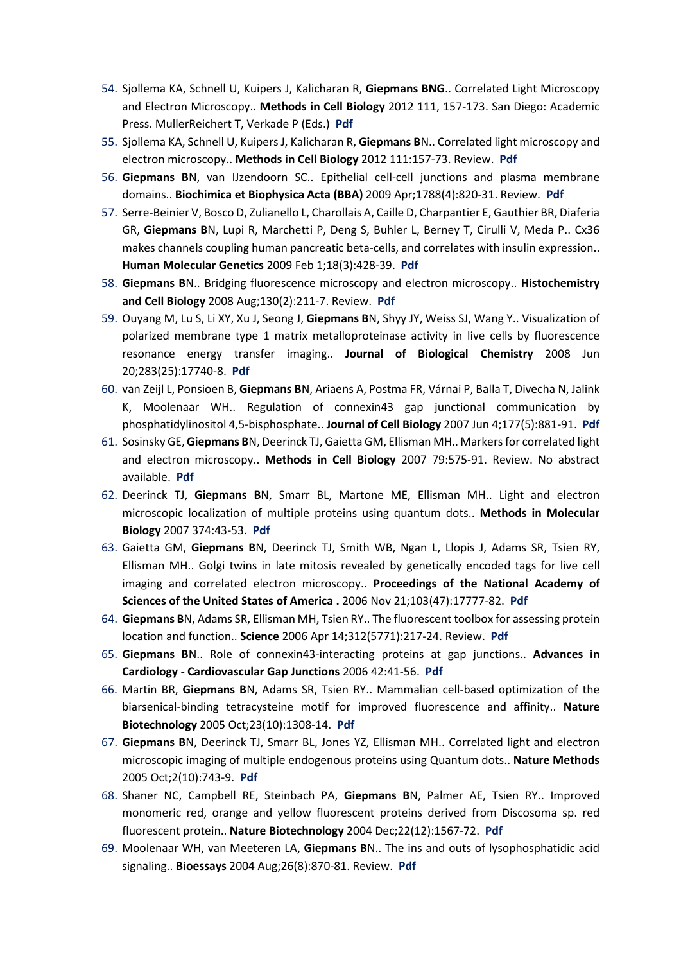- 54. Sjollema KA, Schnell U, Kuipers J, Kalicharan R, **Giepmans BNG**.. Correlated Light Microscopy and Electron Microscopy.. **Methods in Cell Biology** 2012 111, 157-173. San Diego: Academic Press. MullerReichert T, Verkade P (Eds.) **Pdf**
- 55. Sjollema KA, Schnell U, Kuipers J, Kalicharan R, **Giepmans B**N.. Correlated light microscopy and electron microscopy.. **Methods in Cell Biology** 2012 111:157-73. Review. **[Pdf](https://www.ncbi.nlm.nih.gov/pubmed/22857928)**
- 56. **Giepmans B**N, van IJzendoorn SC.. Epithelial cell-cell junctions and plasma membrane domains.. **Biochimica et Biophysica Acta (BBA)** 2009 Apr;1788(4):820-31. Review. **[Pdf](https://www.ncbi.nlm.nih.gov/pubmed/18706883)**
- 57. Serre-Beinier V, Bosco D, Zulianello L, Charollais A, Caille D, Charpantier E, Gauthier BR, Diaferia GR, **Giepmans B**N, Lupi R, Marchetti P, Deng S, Buhler L, Berney T, Cirulli V, Meda P.. Cx36 makes channels coupling human pancreatic beta-cells, and correlates with insulin expression.. **Human Molecular Genetics** 2009 Feb 1;18(3):428-39. **[Pdf](https://www.ncbi.nlm.nih.gov/pubmed/19000992)**
- 58. **Giepmans B**N.. Bridging fluorescence microscopy and electron microscopy.. **Histochemistry and Cell Biology** 2008 Aug;130(2):211-7. Review. **[Pdf](https://www.ncbi.nlm.nih.gov/pubmed/18575880)**
- 59. Ouyang M, Lu S, Li XY, Xu J, Seong J, **Giepmans B**N, Shyy JY, Weiss SJ, Wang Y.. Visualization of polarized membrane type 1 matrix metalloproteinase activity in live cells by fluorescence resonance energy transfer imaging.. **Journal of Biological Chemistry** 2008 Jun 20;283(25):17740-8. **[Pdf](https://www.ncbi.nlm.nih.gov/pubmed/18441011)**
- 60. van Zeijl L, Ponsioen B, **Giepmans B**N, Ariaens A, Postma FR, Várnai P, Balla T, Divecha N, Jalink K, Moolenaar WH.. Regulation of connexin43 gap junctional communication by phosphatidylinositol 4,5-bisphosphate.. **Journal of Cell Biology** 2007 Jun 4;177(5):881-91. **[Pdf](https://www.ncbi.nlm.nih.gov/pubmed/17535964)**
- 61. Sosinsky GE, **Giepmans B**N, Deerinck TJ, Gaietta GM, Ellisman MH.. Markers for correlated light and electron microscopy.. **Methods in Cell Biology** 2007 79:575-91. Review. No abstract available. **[Pdf](https://www.ncbi.nlm.nih.gov/pubmed/17327175)**
- 62. Deerinck TJ, **Giepmans B**N, Smarr BL, Martone ME, Ellisman MH.. Light and electron microscopic localization of multiple proteins using quantum dots.. **Methods in Molecular Biology** 2007 374:43-53. **[Pdf](https://www.ncbi.nlm.nih.gov/pubmed/17237528)**
- 63. Gaietta GM, **Giepmans B**N, Deerinck TJ, Smith WB, Ngan L, Llopis J, Adams SR, Tsien RY, Ellisman MH.. Golgi twins in late mitosis revealed by genetically encoded tags for live cell imaging and correlated electron microscopy.. **Proceedings of the National Academy of Sciences of the United States of America .** 2006 Nov 21;103(47):17777-82. **[Pdf](https://www.ncbi.nlm.nih.gov/pubmed/17101980)**
- 64. **Giepmans B**N, Adams SR, Ellisman MH, Tsien RY.. The fluorescent toolbox for assessing protein location and function.. **Science** 2006 Apr 14;312(5771):217-24. Review. **[Pdf](https://www.ncbi.nlm.nih.gov/pubmed/16614209)**
- 65. **Giepmans B**N.. Role of connexin43-interacting proteins at gap junctions.. **Advances in Cardiology - Cardiovascular Gap Junctions** 2006 42:41-56. **[Pdf](https://www.ncbi.nlm.nih.gov/pubmed/16646583)**
- 66. Martin BR, **Giepmans B**N, Adams SR, Tsien RY.. Mammalian cell-based optimization of the biarsenical-binding tetracysteine motif for improved fluorescence and affinity.. **Nature Biotechnology** 2005 Oct;23(10):1308-14. **[Pdf](https://www.ncbi.nlm.nih.gov/pubmed/16155565)**
- 67. **Giepmans B**N, Deerinck TJ, Smarr BL, Jones YZ, Ellisman MH.. Correlated light and electron microscopic imaging of multiple endogenous proteins using Quantum dots.. **Nature Methods** 2005 Oct;2(10):743-9. **[Pdf](https://www.ncbi.nlm.nih.gov/pubmed/16179920)**
- 68. Shaner NC, Campbell RE, Steinbach PA, **Giepmans B**N, Palmer AE, Tsien RY.. Improved monomeric red, orange and yellow fluorescent proteins derived from Discosoma sp. red fluorescent protein.. **Nature Biotechnology** 2004 Dec;22(12):1567-72. **[Pdf](https://www.ncbi.nlm.nih.gov/pubmed/15558047)**
- 69. Moolenaar WH, van Meeteren LA, **Giepmans B**N.. The ins and outs of lysophosphatidic acid signaling.. **Bioessays** 2004 Aug;26(8):870-81. Review. **[Pdf](https://www.ncbi.nlm.nih.gov/pubmed/15273989)**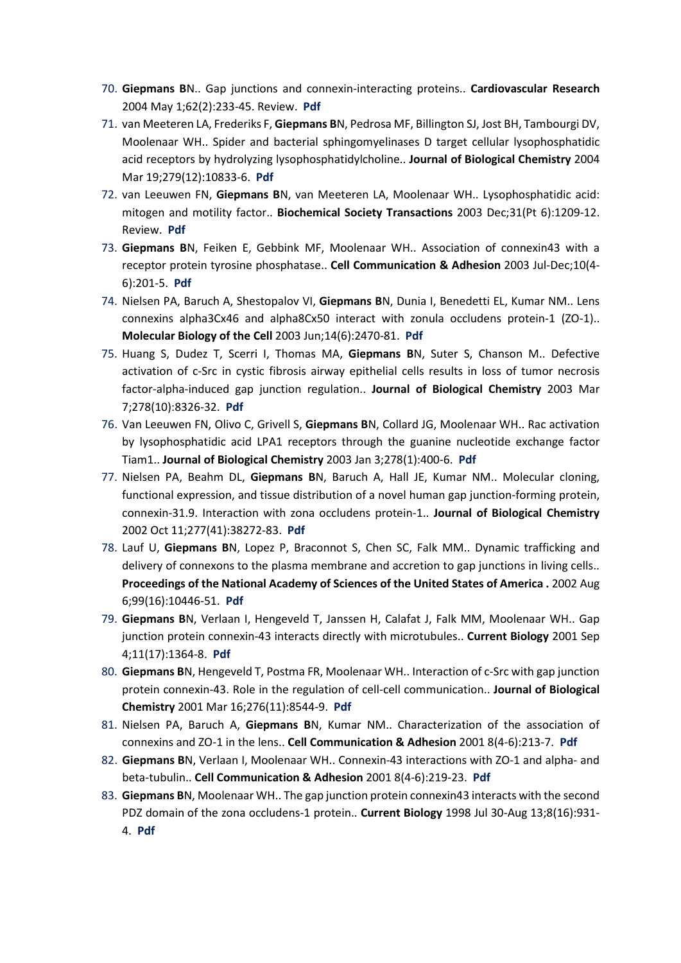- 70. **Giepmans B**N.. Gap junctions and connexin-interacting proteins.. **Cardiovascular Research** 2004 May 1;62(2):233-45. Review. **[Pdf](https://www.ncbi.nlm.nih.gov/pubmed/15094344)**
- 71. van Meeteren LA, Frederiks F, **Giepmans B**N, Pedrosa MF, Billington SJ, Jost BH, Tambourgi DV, Moolenaar WH.. Spider and bacterial sphingomyelinases D target cellular lysophosphatidic acid receptors by hydrolyzing lysophosphatidylcholine.. **Journal of Biological Chemistry** 2004 Mar 19;279(12):10833-6. **[Pdf](https://www.ncbi.nlm.nih.gov/pubmed/14732720)**
- 72. van Leeuwen FN, **Giepmans B**N, van Meeteren LA, Moolenaar WH.. Lysophosphatidic acid: mitogen and motility factor.. **Biochemical Society Transactions** 2003 Dec;31(Pt 6):1209-12. Review. **[Pdf](https://www.ncbi.nlm.nih.gov/pubmed/14641027)**
- 73. **Giepmans B**N, Feiken E, Gebbink MF, Moolenaar WH.. Association of connexin43 with a receptor protein tyrosine phosphatase.. **Cell Communication & Adhesion** 2003 Jul-Dec;10(4- 6):201-5. **[Pdf](https://www.ncbi.nlm.nih.gov/pubmed/14681016)**
- 74. Nielsen PA, Baruch A, Shestopalov VI, **Giepmans B**N, Dunia I, Benedetti EL, Kumar NM.. Lens connexins alpha3Cx46 and alpha8Cx50 interact with zonula occludens protein-1 (ZO-1).. **Molecular Biology of the Cell** 2003 Jun;14(6):2470-81. **[Pdf](https://www.ncbi.nlm.nih.gov/pubmed/12808044)**
- 75. Huang S, Dudez T, Scerri I, Thomas MA, **Giepmans B**N, Suter S, Chanson M.. Defective activation of c-Src in cystic fibrosis airway epithelial cells results in loss of tumor necrosis factor-alpha-induced gap junction regulation.. **Journal of Biological Chemistry** 2003 Mar 7;278(10):8326-32. **[Pdf](https://www.ncbi.nlm.nih.gov/pubmed/12506110)**
- 76. Van Leeuwen FN, Olivo C, Grivell S, **Giepmans B**N, Collard JG, Moolenaar WH.. Rac activation by lysophosphatidic acid LPA1 receptors through the guanine nucleotide exchange factor Tiam1.. **Journal of Biological Chemistry** 2003 Jan 3;278(1):400-6. **[Pdf](https://www.ncbi.nlm.nih.gov/pubmed/12393875)**
- 77. Nielsen PA, Beahm DL, **Giepmans B**N, Baruch A, Hall JE, Kumar NM.. Molecular cloning, functional expression, and tissue distribution of a novel human gap junction-forming protein, connexin-31.9. Interaction with zona occludens protein-1.. **Journal of Biological Chemistry** 2002 Oct 11;277(41):38272-83. **[Pdf](https://www.ncbi.nlm.nih.gov/pubmed/12154091)**
- 78. Lauf U, **Giepmans B**N, Lopez P, Braconnot S, Chen SC, Falk MM.. Dynamic trafficking and delivery of connexons to the plasma membrane and accretion to gap junctions in living cells.. **Proceedings of the National Academy of Sciences of the United States of America .** 2002 Aug 6;99(16):10446-51. **[Pdf](https://www.ncbi.nlm.nih.gov/pubmed/12149451)**
- 79. **Giepmans B**N, Verlaan I, Hengeveld T, Janssen H, Calafat J, Falk MM, Moolenaar WH.. Gap junction protein connexin-43 interacts directly with microtubules.. **Current Biology** 2001 Sep 4;11(17):1364-8. **[Pdf](https://www.ncbi.nlm.nih.gov/pubmed/11553331)**
- 80. **Giepmans B**N, Hengeveld T, Postma FR, Moolenaar WH.. Interaction of c-Src with gap junction protein connexin-43. Role in the regulation of cell-cell communication.. **Journal of Biological Chemistry** 2001 Mar 16;276(11):8544-9. **[Pdf](https://www.ncbi.nlm.nih.gov/pubmed/11124251)**
- 81. Nielsen PA, Baruch A, **Giepmans B**N, Kumar NM.. Characterization of the association of connexins and ZO-1 in the lens.. **Cell Communication & Adhesion** 2001 8(4-6):213-7. **[Pdf](https://www.ncbi.nlm.nih.gov/pubmed/12064591)**
- 82. **Giepmans B**N, Verlaan I, Moolenaar WH.. Connexin-43 interactions with ZO-1 and alpha- and beta-tubulin.. **Cell Communication & Adhesion** 2001 8(4-6):219-23. **[Pdf](https://www.ncbi.nlm.nih.gov/pubmed/12064592)**
- 83. **Giepmans B**N, Moolenaar WH.. The gap junction protein connexin43 interacts with the second PDZ domain of the zona occludens-1 protein.. **Current Biology** 1998 Jul 30-Aug 13;8(16):931- 4. **[Pdf](https://www.ncbi.nlm.nih.gov/pubmed/9707407)**